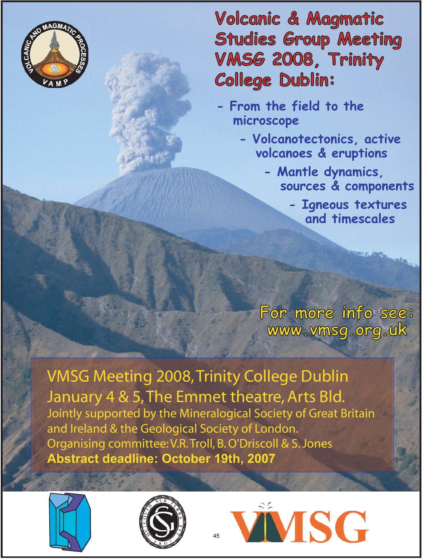

**Volcanic & Magmatic Studies Group Meeting VMSG 2008, Trinity College Dublin:**

- **From the field to the microscope**
	- **Volcanotectonics, active volcanoes & eruptions**
		- **Mantle dynamics, sources & components**
			- **Igneous textures and timescales**

**For more info see: www.vmsg.org.uk**

VMSG Meeting 2008, Trinity College Dublin January 4 & 5, The Emmet theatre, Arts Bld. Jointly supported by the Mineralogical Society of Great Britain and Ireland & the Geological Society of London. Organising committee: V.R. Troll, B. O'Driscoll & S. Jones **Abstract deadline: October 19th, 2007**